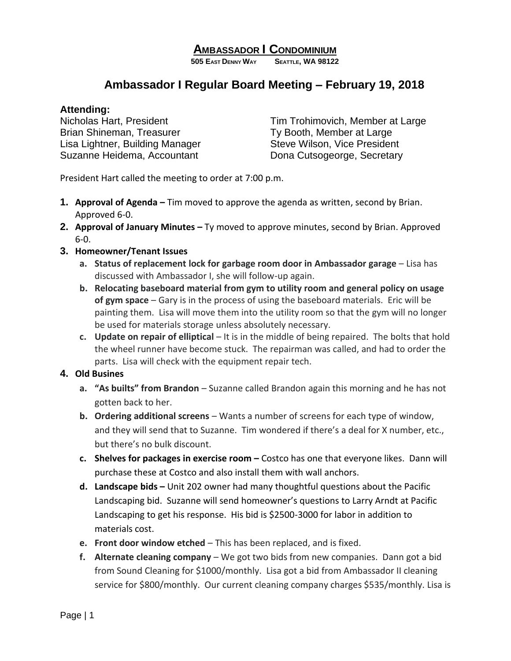# **AMBASSADOR I CONDOMINIUM**

**505 EAST DENNY WAY SEATTLE, WA 98122**

# **Ambassador I Regular Board Meeting – February 19, 2018**

#### **Attending:**

Brian Shineman, Treasurer The Controllery Ty Booth, Member at Large Lisa Lightner, Building Manager Steve Wilson, Vice President Suzanne Heidema, Accountant Dona Cutsogeorge, Secretary

Nicholas Hart, President Tim Trohimovich, Member at Large

President Hart called the meeting to order at 7:00 p.m.

- **1. Approval of Agenda –** Tim moved to approve the agenda as written, second by Brian. Approved 6-0.
- **2. Approval of January Minutes –** Ty moved to approve minutes, second by Brian. Approved 6-0.
- **3. Homeowner/Tenant Issues**
	- **a. Status of replacement lock for garbage room door in Ambassador garage** Lisa has discussed with Ambassador I, she will follow-up again.
	- **b. Relocating baseboard material from gym to utility room and general policy on usage of gym space** – Gary is in the process of using the baseboard materials. Eric will be painting them. Lisa will move them into the utility room so that the gym will no longer be used for materials storage unless absolutely necessary.
	- **c. Update on repair of elliptical** It is in the middle of being repaired. The bolts that hold the wheel runner have become stuck. The repairman was called, and had to order the parts. Lisa will check with the equipment repair tech.

## **4. Old Busines**

- **a. "As builts" from Brandon** Suzanne called Brandon again this morning and he has not gotten back to her.
- **b. Ordering additional screens** Wants a number of screens for each type of window, and they will send that to Suzanne. Tim wondered if there's a deal for X number, etc., but there's no bulk discount.
- **c. Shelves for packages in exercise room –** Costco has one that everyone likes. Dann will purchase these at Costco and also install them with wall anchors.
- **d. Landscape bids –** Unit 202 owner had many thoughtful questions about the Pacific Landscaping bid.Suzanne will send homeowner's questions to Larry Arndt at Pacific Landscaping to get his response. His bid is \$2500-3000 for labor in addition to materials cost.
- **e. Front door window etched** This has been replaced, and is fixed.
- **f. Alternate cleaning company** We got two bids from new companies. Dann got a bid from Sound Cleaning for \$1000/monthly. Lisa got a bid from Ambassador II cleaning service for \$800/monthly. Our current cleaning company charges \$535/monthly. Lisa is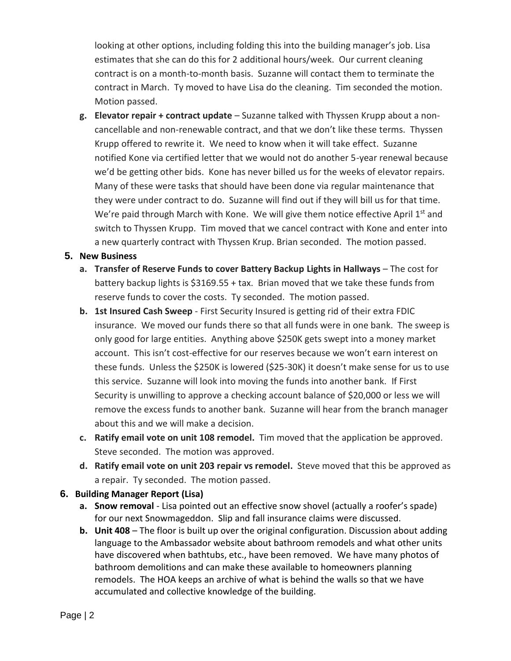looking at other options, including folding this into the building manager's job. Lisa estimates that she can do this for 2 additional hours/week. Our current cleaning contract is on a month-to-month basis. Suzanne will contact them to terminate the contract in March. Ty moved to have Lisa do the cleaning. Tim seconded the motion. Motion passed.

**g. Elevator repair + contract update** – Suzanne talked with Thyssen Krupp about a noncancellable and non-renewable contract, and that we don't like these terms. Thyssen Krupp offered to rewrite it. We need to know when it will take effect. Suzanne notified Kone via certified letter that we would not do another 5-year renewal because we'd be getting other bids. Kone has never billed us for the weeks of elevator repairs. Many of these were tasks that should have been done via regular maintenance that they were under contract to do. Suzanne will find out if they will bill us for that time. We're paid through March with Kone. We will give them notice effective April 1st and switch to Thyssen Krupp. Tim moved that we cancel contract with Kone and enter into a new quarterly contract with Thyssen Krup. Brian seconded. The motion passed.

### **5. New Business**

- **a. Transfer of Reserve Funds to cover Battery Backup Lights in Hallways** The cost for battery backup lights is \$3169.55 + tax. Brian moved that we take these funds from reserve funds to cover the costs. Ty seconded. The motion passed.
- **b. 1st Insured Cash Sweep** First Security Insured is getting rid of their extra FDIC insurance. We moved our funds there so that all funds were in one bank. The sweep is only good for large entities. Anything above \$250K gets swept into a money market account. This isn't cost-effective for our reserves because we won't earn interest on these funds. Unless the \$250K is lowered (\$25-30K) it doesn't make sense for us to use this service. Suzanne will look into moving the funds into another bank. If First Security is unwilling to approve a checking account balance of \$20,000 or less we will remove the excess funds to another bank. Suzanne will hear from the branch manager about this and we will make a decision.
- **c. Ratify email vote on unit 108 remodel.** Tim moved that the application be approved. Steve seconded. The motion was approved.
- **d. Ratify email vote on unit 203 repair vs remodel.** Steve moved that this be approved as a repair. Ty seconded. The motion passed.

### **6. Building Manager Report (Lisa)**

- **a. Snow removal**  Lisa pointed out an effective snow shovel (actually a roofer's spade) for our next Snowmageddon. Slip and fall insurance claims were discussed.
- **b. Unit 408**  The floor is built up over the original configuration. Discussion about adding language to the Ambassador website about bathroom remodels and what other units have discovered when bathtubs, etc., have been removed. We have many photos of bathroom demolitions and can make these available to homeowners planning remodels. The HOA keeps an archive of what is behind the walls so that we have accumulated and collective knowledge of the building.